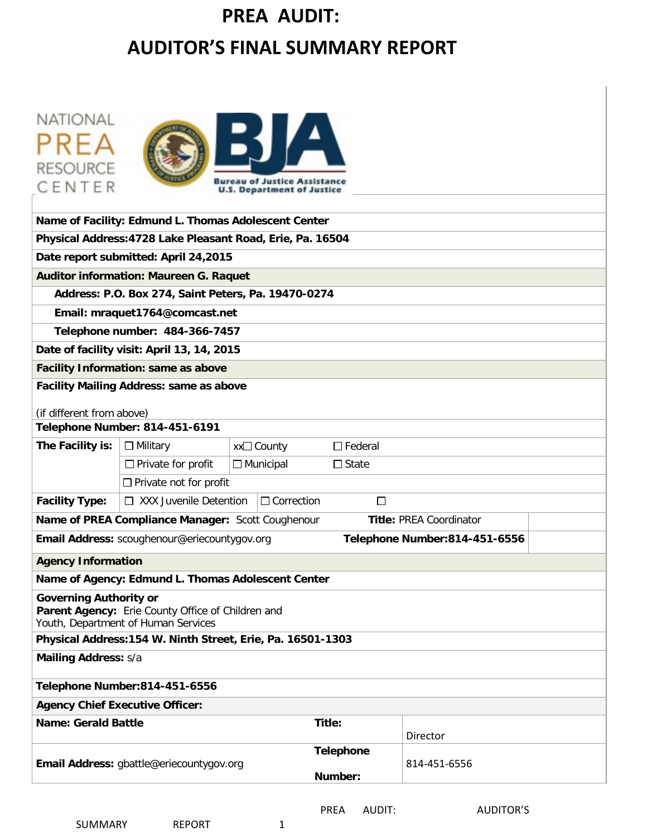# **PREA AUDIT: AUDITOR'S FINAL SUMMARY REPORT**

| NATIONAL<br><b>RESOURCE</b><br>eau of Justice Assistance<br>CENTER<br><b>U.S. Department of Justice</b>                   |                                                               |                                                             |                |                                |  |  |
|---------------------------------------------------------------------------------------------------------------------------|---------------------------------------------------------------|-------------------------------------------------------------|----------------|--------------------------------|--|--|
|                                                                                                                           | Name of Facility: Edmund L. Thomas Adolescent Center          |                                                             |                |                                |  |  |
|                                                                                                                           |                                                               | Physical Address: 4728 Lake Pleasant Road, Erie, Pa. 16504  |                |                                |  |  |
|                                                                                                                           | Date report submitted: April 24,2015                          |                                                             |                |                                |  |  |
|                                                                                                                           | <b>Auditor information: Maureen G. Raquet</b>                 |                                                             |                |                                |  |  |
|                                                                                                                           | Address: P.O. Box 274, Saint Peters, Pa. 19470-0274           |                                                             |                |                                |  |  |
|                                                                                                                           | Email: mraquet1764@comcast.net                                |                                                             |                |                                |  |  |
|                                                                                                                           | Telephone number: 484-366-7457                                |                                                             |                |                                |  |  |
|                                                                                                                           | Date of facility visit: April 13, 14, 2015                    |                                                             |                |                                |  |  |
|                                                                                                                           | <b>Facility Information: same as above</b>                    |                                                             |                |                                |  |  |
| <b>Facility Mailing Address: same as above</b><br>(if different from above)                                               |                                                               |                                                             |                |                                |  |  |
| <b>Telephone Number: 814-451-6191</b>                                                                                     |                                                               |                                                             |                |                                |  |  |
| The Facility is:                                                                                                          | $\Box$ Military                                               | xx□ County                                                  | $\Box$ Federal |                                |  |  |
|                                                                                                                           | $\Box$ Municipal<br>$\Box$ Private for profit<br>$\Box$ State |                                                             |                |                                |  |  |
|                                                                                                                           | $\Box$ Private not for profit                                 |                                                             |                |                                |  |  |
| <b>Facility Type:</b>                                                                                                     | $\Box$ XXX Juvenile Detention                                 | $\Box$ Correction                                           | □              |                                |  |  |
|                                                                                                                           | Name of PREA Compliance Manager: Scott Coughenour             |                                                             |                | <b>Title: PREA Coordinator</b> |  |  |
|                                                                                                                           | Email Address: scoughenour@eriecountygov.org                  |                                                             |                | Telephone Number:814-451-6556  |  |  |
| <b>Agency Information</b>                                                                                                 |                                                               |                                                             |                |                                |  |  |
|                                                                                                                           | Name of Agency: Edmund L. Thomas Adolescent Center            |                                                             |                |                                |  |  |
| <b>Governing Authority or</b><br>Parent Agency: Erie County Office of Children and<br>Youth, Department of Human Services |                                                               |                                                             |                |                                |  |  |
|                                                                                                                           |                                                               | Physical Address: 154 W. Ninth Street, Erie, Pa. 16501-1303 |                |                                |  |  |
| <b>Mailing Address: s/a</b>                                                                                               |                                                               |                                                             |                |                                |  |  |
| Telephone Number: 814-451-6556                                                                                            |                                                               |                                                             |                |                                |  |  |
| <b>Agency Chief Executive Officer:</b>                                                                                    |                                                               |                                                             |                |                                |  |  |
| <b>Name: Gerald Battle</b><br>Title:                                                                                      |                                                               |                                                             |                | Director                       |  |  |
| <b>Telephone</b><br>814-451-6556<br>Email Address: gbattle@eriecountygov.org<br>Number:                                   |                                                               |                                                             |                |                                |  |  |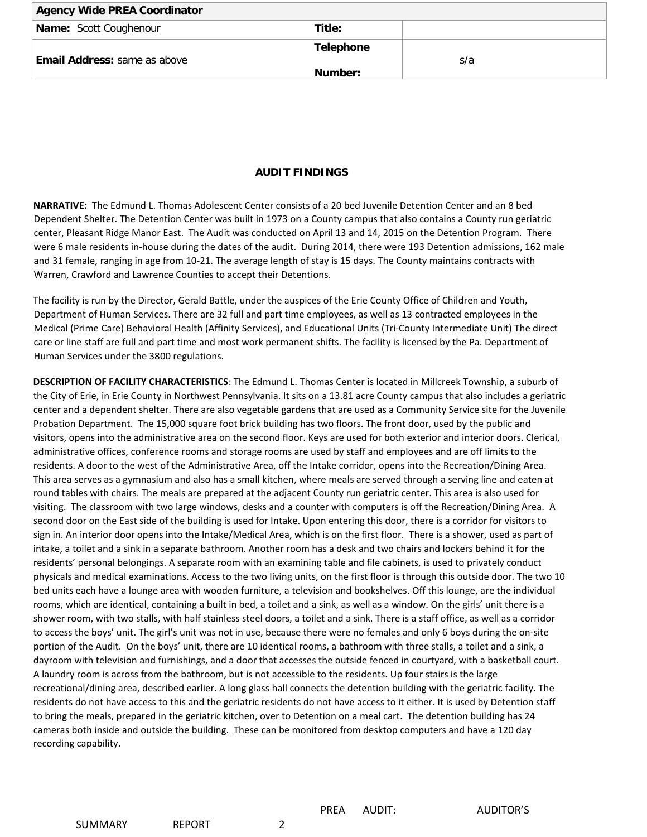| <b>Agency Wide PREA Coordinator</b> |                  |  |
|-------------------------------------|------------------|--|
| <b>Name:</b> Scott Coughenour       | Title:           |  |
|                                     | <b>Telephone</b> |  |
| <b>Email Address:</b> same as above | s/a              |  |
|                                     | Number:          |  |

#### **AUDIT FINDINGS**

**NARRATIVE:** The Edmund L. Thomas Adolescent Center consists of a 20 bed Juvenile Detention Center and an 8 bed Dependent Shelter. The Detention Center was built in 1973 on a County campus that also contains a County run geriatric center, Pleasant Ridge Manor East. The Audit was conducted on April 13 and 14, 2015 on the Detention Program. There were 6 male residents in-house during the dates of the audit. During 2014, there were 193 Detention admissions, 162 male and 31 female, ranging in age from 10-21. The average length of stay is 15 days. The County maintains contracts with Warren, Crawford and Lawrence Counties to accept their Detentions.

The facility is run by the Director, Gerald Battle, under the auspices of the Erie County Office of Children and Youth, Department of Human Services. There are 32 full and part time employees, as well as 13 contracted employees in the Medical (Prime Care) Behavioral Health (Affinity Services), and Educational Units (Tri-County Intermediate Unit) The direct care or line staff are full and part time and most work permanent shifts. The facility is licensed by the Pa. Department of Human Services under the 3800 regulations.

**DESCRIPTION OF FACILITY CHARACTERISTICS**: The Edmund L. Thomas Center is located in Millcreek Township, a suburb of the City of Erie, in Erie County in Northwest Pennsylvania. It sits on a 13.81 acre County campus that also includes a geriatric center and a dependent shelter. There are also vegetable gardens that are used as a Community Service site for the Juvenile Probation Department. The 15,000 square foot brick building has two floors. The front door, used by the public and visitors, opens into the administrative area on the second floor. Keys are used for both exterior and interior doors. Clerical, administrative offices, conference rooms and storage rooms are used by staff and employees and are off limits to the residents. A door to the west of the Administrative Area, off the Intake corridor, opens into the Recreation/Dining Area. This area serves as a gymnasium and also has a small kitchen, where meals are served through a serving line and eaten at round tables with chairs. The meals are prepared at the adjacent County run geriatric center. This area is also used for visiting. The classroom with two large windows, desks and a counter with computers is off the Recreation/Dining Area. A second door on the East side of the building is used for Intake. Upon entering this door, there is a corridor for visitors to sign in. An interior door opens into the Intake/Medical Area, which is on the first floor. There is a shower, used as part of intake, a toilet and a sink in a separate bathroom. Another room has a desk and two chairs and lockers behind it for the residents' personal belongings. A separate room with an examining table and file cabinets, is used to privately conduct physicals and medical examinations. Access to the two living units, on the first floor is through this outside door. The two 10 bed units each have a lounge area with wooden furniture, a television and bookshelves. Off this lounge, are the individual rooms, which are identical, containing a built in bed, a toilet and a sink, as well as a window. On the girls' unit there is a shower room, with two stalls, with half stainless steel doors, a toilet and a sink. There is a staff office, as well as a corridor to access the boys' unit. The girl's unit was not in use, because there were no females and only 6 boys during the on-site portion of the Audit. On the boys' unit, there are 10 identical rooms, a bathroom with three stalls, a toilet and a sink, a dayroom with television and furnishings, and a door that accesses the outside fenced in courtyard, with a basketball court. A laundry room is across from the bathroom, but is not accessible to the residents. Up four stairs is the large recreational/dining area, described earlier. A long glass hall connects the detention building with the geriatric facility. The residents do not have access to this and the geriatric residents do not have access to it either. It is used by Detention staff to bring the meals, prepared in the geriatric kitchen, over to Detention on a meal cart. The detention building has 24 cameras both inside and outside the building. These can be monitored from desktop computers and have a 120 day recording capability.

SUMMARY REPORT 2

PREA AUDIT: AUDITOR'S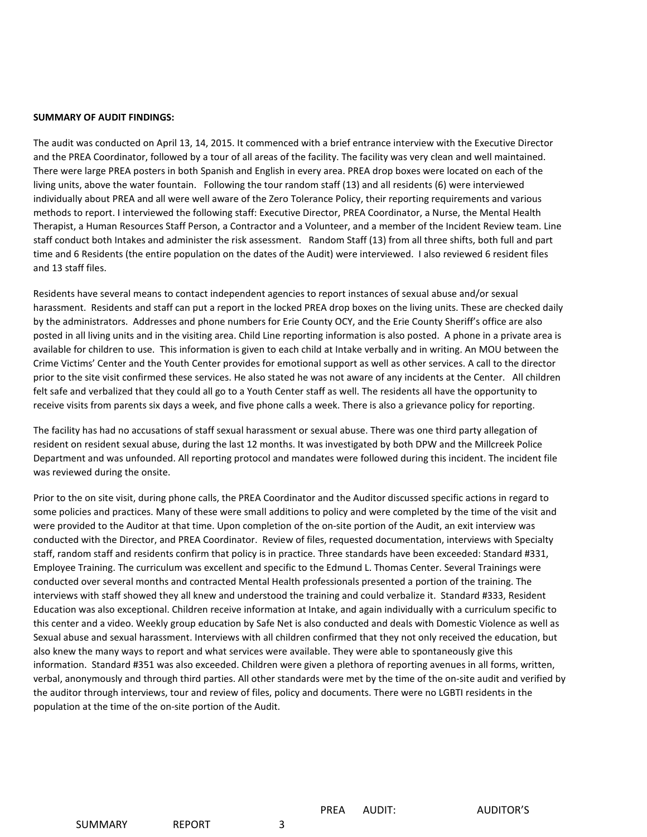#### **SUMMARY OF AUDIT FINDINGS:**

The audit was conducted on April 13, 14, 2015. It commenced with a brief entrance interview with the Executive Director and the PREA Coordinator, followed by a tour of all areas of the facility. The facility was very clean and well maintained. There were large PREA posters in both Spanish and English in every area. PREA drop boxes were located on each of the living units, above the water fountain. Following the tour random staff (13) and all residents (6) were interviewed individually about PREA and all were well aware of the Zero Tolerance Policy, their reporting requirements and various methods to report. I interviewed the following staff: Executive Director, PREA Coordinator, a Nurse, the Mental Health Therapist, a Human Resources Staff Person, a Contractor and a Volunteer, and a member of the Incident Review team. Line staff conduct both Intakes and administer the risk assessment. Random Staff (13) from all three shifts, both full and part time and 6 Residents (the entire population on the dates of the Audit) were interviewed. I also reviewed 6 resident files and 13 staff files.

Residents have several means to contact independent agencies to report instances of sexual abuse and/or sexual harassment. Residents and staff can put a report in the locked PREA drop boxes on the living units. These are checked daily by the administrators. Addresses and phone numbers for Erie County OCY, and the Erie County Sheriff's office are also posted in all living units and in the visiting area. Child Line reporting information is also posted. A phone in a private area is available for children to use. This information is given to each child at Intake verbally and in writing. An MOU between the Crime Victims' Center and the Youth Center provides for emotional support as well as other services. A call to the director prior to the site visit confirmed these services. He also stated he was not aware of any incidents at the Center. All children felt safe and verbalized that they could all go to a Youth Center staff as well. The residents all have the opportunity to receive visits from parents six days a week, and five phone calls a week. There is also a grievance policy for reporting.

The facility has had no accusations of staff sexual harassment or sexual abuse. There was one third party allegation of resident on resident sexual abuse, during the last 12 months. It was investigated by both DPW and the Millcreek Police Department and was unfounded. All reporting protocol and mandates were followed during this incident. The incident file was reviewed during the onsite.

Prior to the on site visit, during phone calls, the PREA Coordinator and the Auditor discussed specific actions in regard to some policies and practices. Many of these were small additions to policy and were completed by the time of the visit and were provided to the Auditor at that time. Upon completion of the on-site portion of the Audit, an exit interview was conducted with the Director, and PREA Coordinator. Review of files, requested documentation, interviews with Specialty staff, random staff and residents confirm that policy is in practice. Three standards have been exceeded: Standard #331, Employee Training. The curriculum was excellent and specific to the Edmund L. Thomas Center. Several Trainings were conducted over several months and contracted Mental Health professionals presented a portion of the training. The interviews with staff showed they all knew and understood the training and could verbalize it. Standard #333, Resident Education was also exceptional. Children receive information at Intake, and again individually with a curriculum specific to this center and a video. Weekly group education by Safe Net is also conducted and deals with Domestic Violence as well as Sexual abuse and sexual harassment. Interviews with all children confirmed that they not only received the education, but also knew the many ways to report and what services were available. They were able to spontaneously give this information. Standard #351 was also exceeded. Children were given a plethora of reporting avenues in all forms, written, verbal, anonymously and through third parties. All other standards were met by the time of the on-site audit and verified by the auditor through interviews, tour and review of files, policy and documents. There were no LGBTI residents in the population at the time of the on-site portion of the Audit.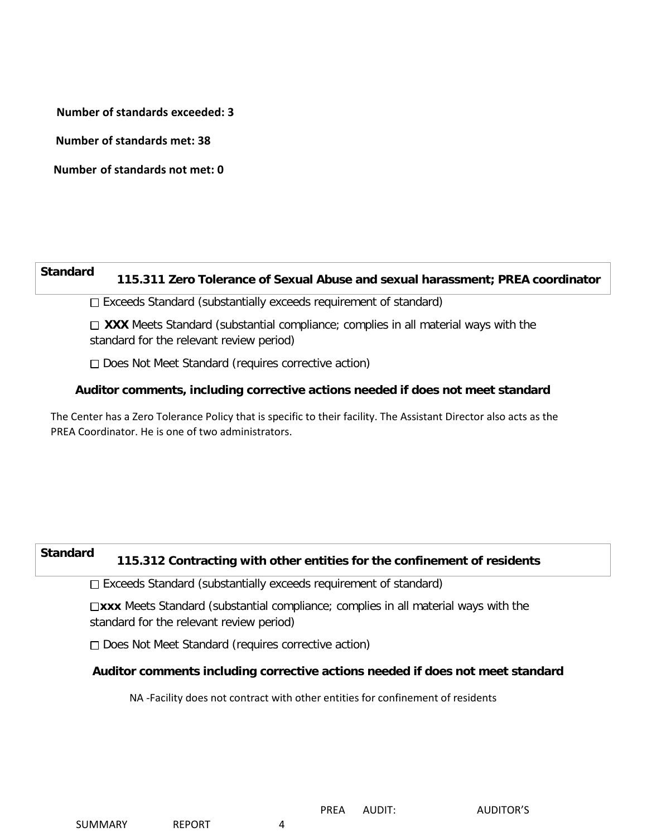**Number of standards exceeded: 3**

 **Number of standards met: 38**

**Number of standards not met: 0**

# **Standard 115.311 Zero Tolerance of Sexual Abuse and sexual harassment; PREA coordinator**

Exceeds Standard (substantially exceeds requirement of standard)

□ XXX Meets Standard (substantial compliance; complies in all material ways with the standard for the relevant review period)

□ Does Not Meet Standard (requires corrective action)

## **Auditor comments, including corrective actions needed if does not meet standard**

The Center has a Zero Tolerance Policy that is specific to their facility. The Assistant Director also acts as the PREA Coordinator. He is one of two administrators.

# **Standard 115.312 Contracting with other entities for the confinement of residents**

Exceeds Standard (substantially exceeds requirement of standard)

□xxx Meets Standard (substantial compliance; complies in all material ways with the standard for the relevant review period)

Does Not Meet Standard (requires corrective action)

# **Auditor comments including corrective actions needed if does not meet standard**

NA -Facility does not contract with other entities for confinement of residents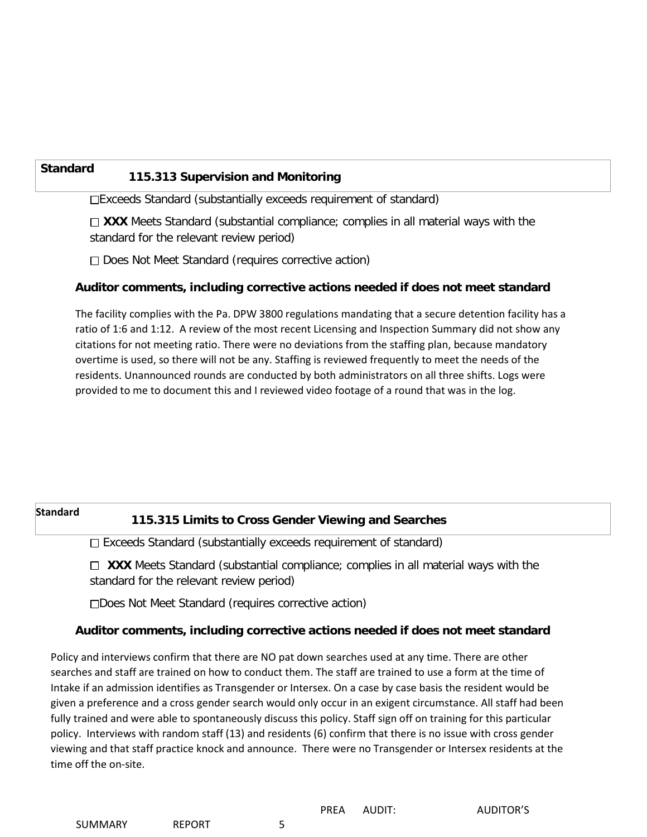# **Standard 115.313 Supervision and Monitoring**

Exceeds Standard (substantially exceeds requirement of standard)

 $\Box$  **XXX** Meets Standard (substantial compliance; complies in all material ways with the standard for the relevant review period)

□ Does Not Meet Standard (requires corrective action)

# **Auditor comments, including corrective actions needed if does not meet standard**

The facility complies with the Pa. DPW 3800 regulations mandating that a secure detention facility has a ratio of 1:6 and 1:12. A review of the most recent Licensing and Inspection Summary did not show any citations for not meeting ratio. There were no deviations from the staffing plan, because mandatory overtime is used, so there will not be any. Staffing is reviewed frequently to meet the needs of the residents. Unannounced rounds are conducted by both administrators on all three shifts. Logs were provided to me to document this and I reviewed video footage of a round that was in the log.

# **Standard 115.315 Limits to Cross Gender Viewing and Searches**

 $\Box$  Exceeds Standard (substantially exceeds requirement of standard)

**XXX** Meets Standard (substantial compliance; complies in all material ways with the standard for the relevant review period)

Does Not Meet Standard (requires corrective action)

# **Auditor comments, including corrective actions needed if does not meet standard**

Policy and interviews confirm that there are NO pat down searches used at any time. There are other searches and staff are trained on how to conduct them. The staff are trained to use a form at the time of Intake if an admission identifies as Transgender or Intersex. On a case by case basis the resident would be given a preference and a cross gender search would only occur in an exigent circumstance. All staff had been fully trained and were able to spontaneously discuss this policy. Staff sign off on training for this particular policy. Interviews with random staff (13) and residents (6) confirm that there is no issue with cross gender viewing and that staff practice knock and announce. There were no Transgender or Intersex residents at the time off the on-site.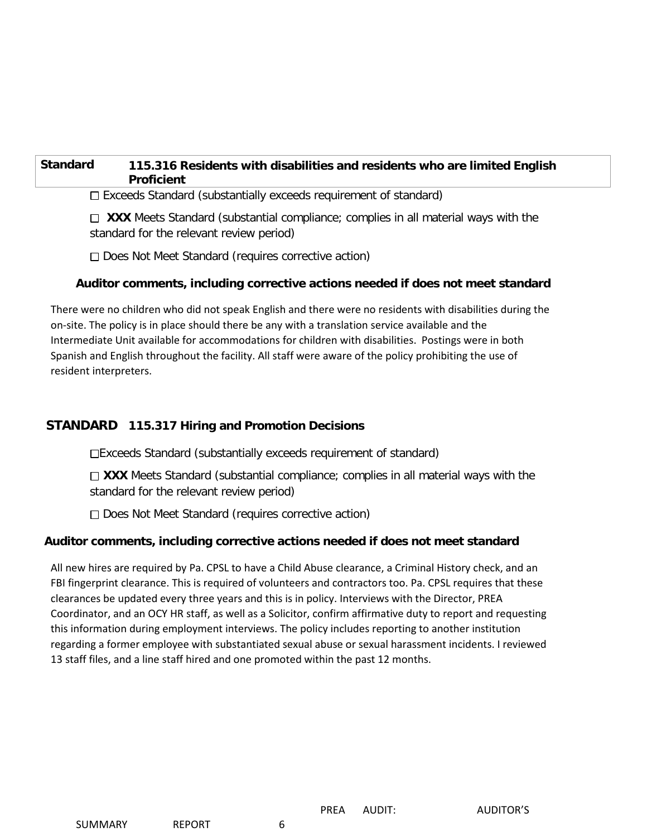# **Standard 115.316 Residents with disabilities and residents who are limited English Proficient**

 $\Box$  Exceeds Standard (substantially exceeds requirement of standard)

**XXX** Meets Standard (substantial compliance; complies in all material ways with the standard for the relevant review period)

□ Does Not Meet Standard (requires corrective action)

## **Auditor comments, including corrective actions needed if does not meet standard**

There were no children who did not speak English and there were no residents with disabilities during the on-site. The policy is in place should there be any with a translation service available and the Intermediate Unit available for accommodations for children with disabilities. Postings were in both Spanish and English throughout the facility. All staff were aware of the policy prohibiting the use of resident interpreters.

# **STANDARD 115.317 Hiring and Promotion Decisions**

Exceeds Standard (substantially exceeds requirement of standard)

 $\Box$  **XXX** Meets Standard (substantial compliance; complies in all material ways with the standard for the relevant review period)

□ Does Not Meet Standard (requires corrective action)

## **Auditor comments, including corrective actions needed if does not meet standard**

All new hires are required by Pa. CPSL to have a Child Abuse clearance, a Criminal History check, and an FBI fingerprint clearance. This is required of volunteers and contractors too. Pa. CPSL requires that these clearances be updated every three years and this is in policy. Interviews with the Director, PREA Coordinator, and an OCY HR staff, as well as a Solicitor, confirm affirmative duty to report and requesting this information during employment interviews. The policy includes reporting to another institution regarding a former employee with substantiated sexual abuse or sexual harassment incidents. I reviewed 13 staff files, and a line staff hired and one promoted within the past 12 months.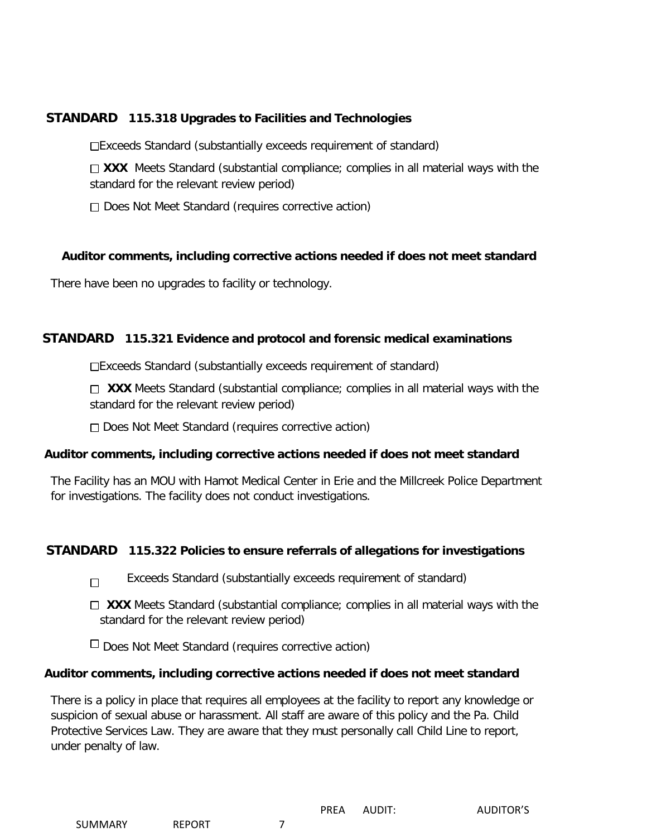# **STANDARD 115.318 Upgrades to Facilities and Technologies**

Exceeds Standard (substantially exceeds requirement of standard)

□ XXX Meets Standard (substantial compliance; complies in all material ways with the standard for the relevant review period)

□ Does Not Meet Standard (requires corrective action)

## **Auditor comments, including corrective actions needed if does not meet standard**

There have been no upgrades to facility or technology.

## **STANDARD 115.321 Evidence and protocol and forensic medical examinations**

Exceeds Standard (substantially exceeds requirement of standard)

□ XXX Meets Standard (substantial compliance; complies in all material ways with the standard for the relevant review period)

□ Does Not Meet Standard (requires corrective action)

## **Auditor comments, including corrective actions needed if does not meet standard**

The Facility has an MOU with Hamot Medical Center in Erie and the Millcreek Police Department for investigations. The facility does not conduct investigations.

## **STANDARD 115.322 Policies to ensure referrals of allegations for investigations**

- Exceeds Standard (substantially exceeds requirement of standard)  $\Box$
- □ XXX Meets Standard (substantial compliance; complies in all material ways with the standard for the relevant review period)

 $\Box$  Does Not Meet Standard (requires corrective action)

## **Auditor comments, including corrective actions needed if does not meet standard**

There is a policy in place that requires all employees at the facility to report any knowledge or suspicion of sexual abuse or harassment. All staff are aware of this policy and the Pa. Child Protective Services Law. They are aware that they must personally call Child Line to report, under penalty of law.

PREA AUDIT: AUDITOR'S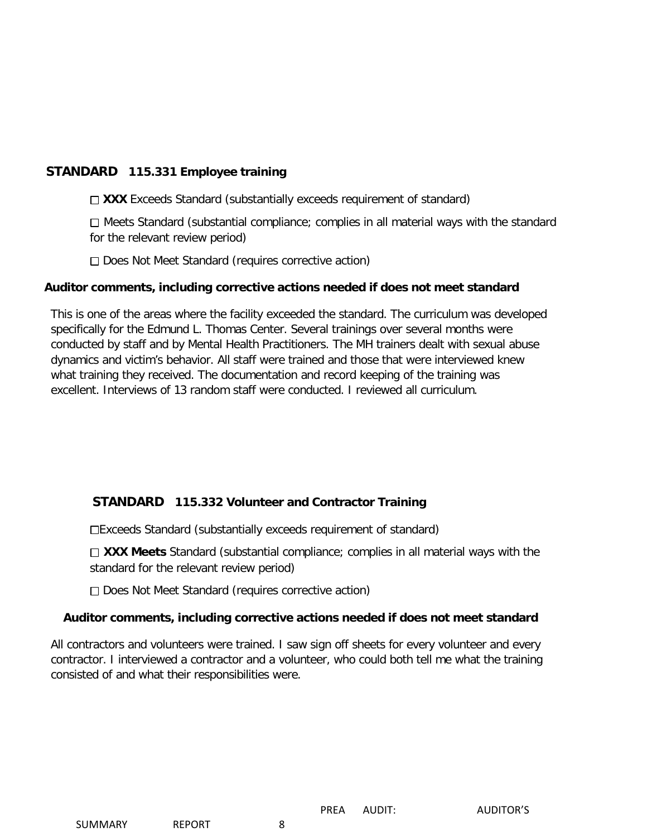# **STANDARD 115.331 Employee training**

□ XXX Exceeds Standard (substantially exceeds requirement of standard)

 $\Box$  Meets Standard (substantial compliance; complies in all material ways with the standard for the relevant review period)

□ Does Not Meet Standard (requires corrective action)

# **Auditor comments, including corrective actions needed if does not meet standard**

This is one of the areas where the facility exceeded the standard. The curriculum was developed specifically for the Edmund L. Thomas Center. Several trainings over several months were conducted by staff and by Mental Health Practitioners. The MH trainers dealt with sexual abuse dynamics and victim's behavior. All staff were trained and those that were interviewed knew what training they received. The documentation and record keeping of the training was excellent. Interviews of 13 random staff were conducted. I reviewed all curriculum.

# **STANDARD 115.332 Volunteer and Contractor Training**

Exceeds Standard (substantially exceeds requirement of standard)

□ XXX Meets Standard (substantial compliance; complies in all material ways with the standard for the relevant review period)

 $\Box$  Does Not Meet Standard (requires corrective action)

# **Auditor comments, including corrective actions needed if does not meet standard**

All contractors and volunteers were trained. I saw sign off sheets for every volunteer and every contractor. I interviewed a contractor and a volunteer, who could both tell me what the training consisted of and what their responsibilities were.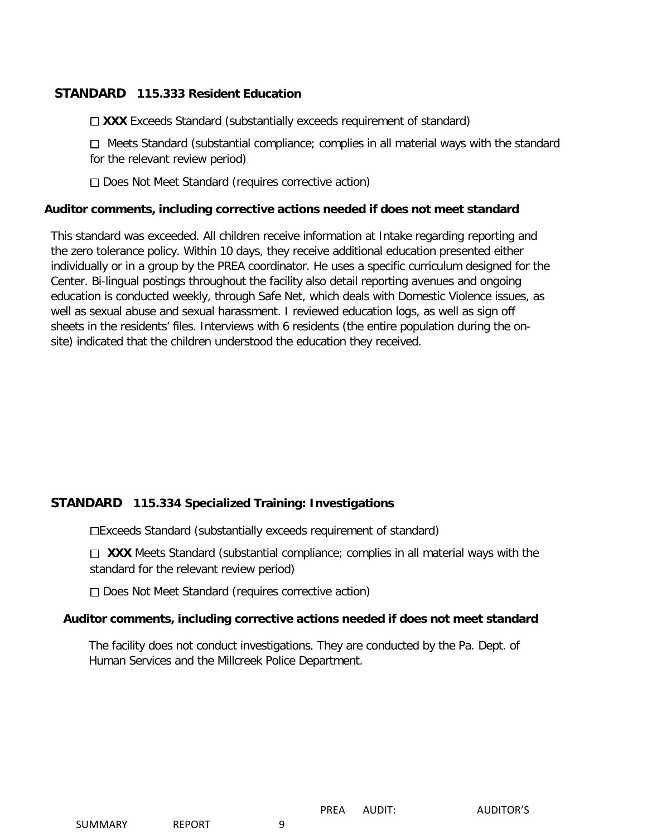# **STANDARD 115.333 Resident Education**

□ XXX Exceeds Standard (substantially exceeds requirement of standard)

□ Meets Standard (substantial compliance; complies in all material ways with the standard for the relevant review period)

Does Not Meet Standard (requires corrective action)

#### **Auditor comments, including corrective actions needed if does not meet standard**

This standard was exceeded. All children receive information at Intake regarding reporting and the zero tolerance policy. Within 10 days, they receive additional education presented either individually or in a group by the PREA coordinator. He uses a specific curriculum designed for the Center. Bi-lingual postings throughout the facility also detail reporting avenues and ongoing education is conducted weekly, through Safe Net, which deals with Domestic Violence issues, as well as sexual abuse and sexual harassment. I reviewed education logs, as well as sign off sheets in the residents' files. Interviews with 6 residents (the entire population during the onsite) indicated that the children understood the education they received.

# **STANDARD 115.334 Specialized Training: Investigations**

Exceeds Standard (substantially exceeds requirement of standard)

**XXX** Meets Standard (substantial compliance; complies in all material ways with the standard for the relevant review period)

□ Does Not Meet Standard (requires corrective action)

#### **Auditor comments, including corrective actions needed if does not meet standard**

The facility does not conduct investigations. They are conducted by the Pa. Dept. of Human Services and the Millcreek Police Department.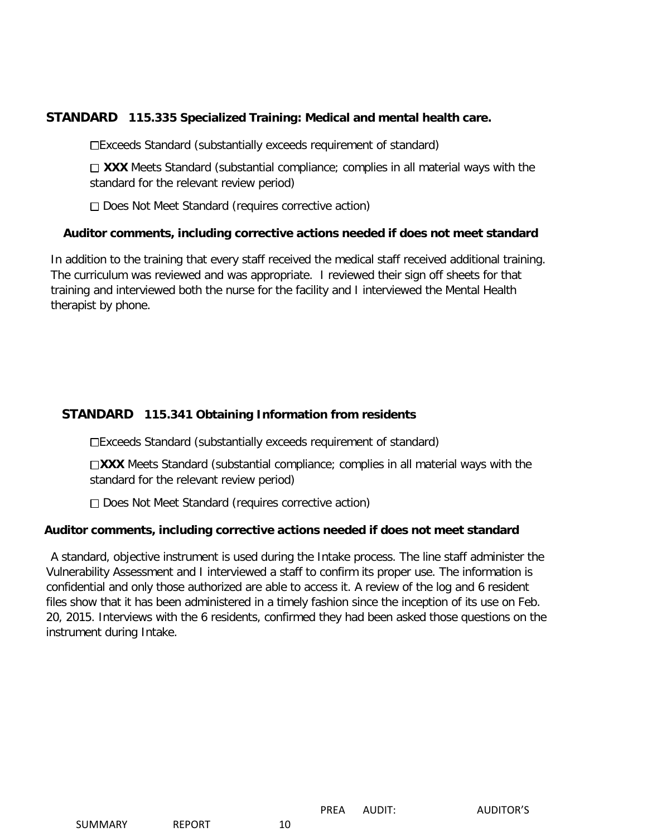# **STANDARD 115.335 Specialized Training: Medical and mental health care.**

Exceeds Standard (substantially exceeds requirement of standard)

 $\Box$  **XXX** Meets Standard (substantial compliance; complies in all material ways with the standard for the relevant review period)

 $\Box$  Does Not Meet Standard (requires corrective action)

## **Auditor comments, including corrective actions needed if does not meet standard**

In addition to the training that every staff received the medical staff received additional training. The curriculum was reviewed and was appropriate. I reviewed their sign off sheets for that training and interviewed both the nurse for the facility and I interviewed the Mental Health therapist by phone.

# **STANDARD 115.341 Obtaining Information from residents**

Exceeds Standard (substantially exceeds requirement of standard)

□XXX Meets Standard (substantial compliance; complies in all material ways with the standard for the relevant review period)

□ Does Not Meet Standard (requires corrective action)

## **Auditor comments, including corrective actions needed if does not meet standard**

A standard, objective instrument is used during the Intake process. The line staff administer the Vulnerability Assessment and I interviewed a staff to confirm its proper use. The information is confidential and only those authorized are able to access it. A review of the log and 6 resident files show that it has been administered in a timely fashion since the inception of its use on Feb. 20, 2015. Interviews with the 6 residents, confirmed they had been asked those questions on the instrument during Intake.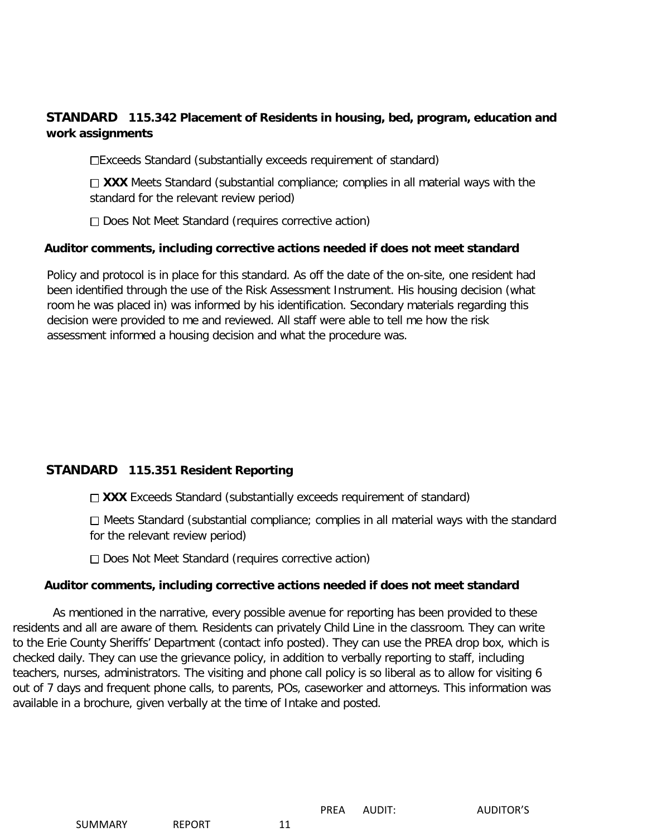# **STANDARD 115.342 Placement of Residents in housing, bed, program, education and work assignments**

Exceeds Standard (substantially exceeds requirement of standard)

 $\Box$  **XXX** Meets Standard (substantial compliance; complies in all material ways with the standard for the relevant review period)

Does Not Meet Standard (requires corrective action)

# **Auditor comments, including corrective actions needed if does not meet standard**

Policy and protocol is in place for this standard. As off the date of the on-site, one resident had been identified through the use of the Risk Assessment Instrument. His housing decision (what room he was placed in) was informed by his identification. Secondary materials regarding this decision were provided to me and reviewed. All staff were able to tell me how the risk assessment informed a housing decision and what the procedure was.

# **STANDARD 115.351 Resident Reporting**

□ XXX Exceeds Standard (substantially exceeds requirement of standard)

 $\Box$  Meets Standard (substantial compliance; complies in all material ways with the standard for the relevant review period)

□ Does Not Meet Standard (requires corrective action)

## **Auditor comments, including corrective actions needed if does not meet standard**

 As mentioned in the narrative, every possible avenue for reporting has been provided to these residents and all are aware of them. Residents can privately Child Line in the classroom. They can write to the Erie County Sheriffs' Department (contact info posted). They can use the PREA drop box, which is checked daily. They can use the grievance policy, in addition to verbally reporting to staff, including teachers, nurses, administrators. The visiting and phone call policy is so liberal as to allow for visiting 6 out of 7 days and frequent phone calls, to parents, POs, caseworker and attorneys. This information was available in a brochure, given verbally at the time of Intake and posted.

SUMMARY REPORT 11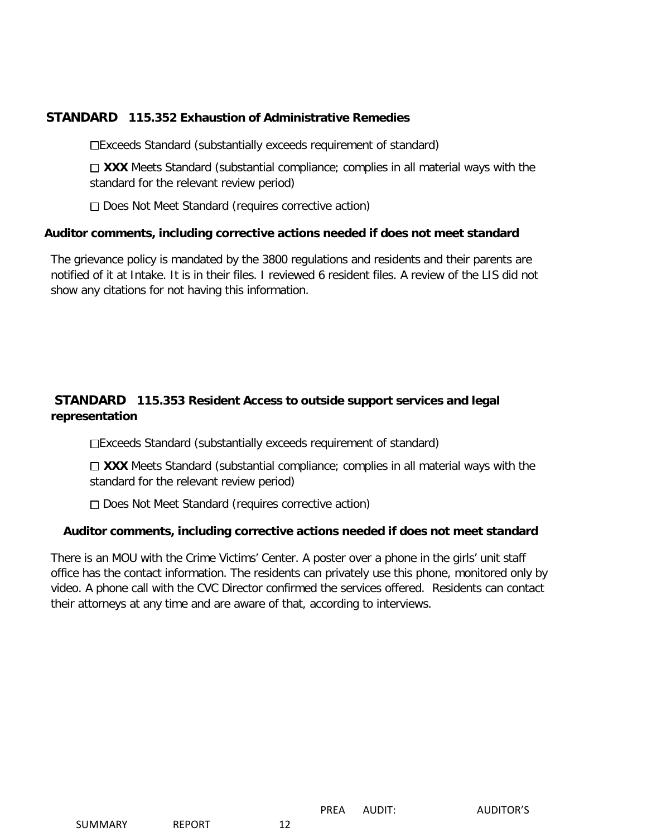# **STANDARD 115.352 Exhaustion of Administrative Remedies**

Exceeds Standard (substantially exceeds requirement of standard)

 $\Box$  **XXX** Meets Standard (substantial compliance; complies in all material ways with the standard for the relevant review period)

□ Does Not Meet Standard (requires corrective action)

## **Auditor comments, including corrective actions needed if does not meet standard**

The grievance policy is mandated by the 3800 regulations and residents and their parents are notified of it at Intake. It is in their files. I reviewed 6 resident files. A review of the LIS did not show any citations for not having this information.

# **STANDARD 115.353 Resident Access to outside support services and legal representation**

Exceeds Standard (substantially exceeds requirement of standard)

 $\Box$  **XXX** Meets Standard (substantial compliance; complies in all material ways with the standard for the relevant review period)

□ Does Not Meet Standard (requires corrective action)

## **Auditor comments, including corrective actions needed if does not meet standard**

There is an MOU with the Crime Victims' Center. A poster over a phone in the girls' unit staff office has the contact information. The residents can privately use this phone, monitored only by video. A phone call with the CVC Director confirmed the services offered. Residents can contact their attorneys at any time and are aware of that, according to interviews.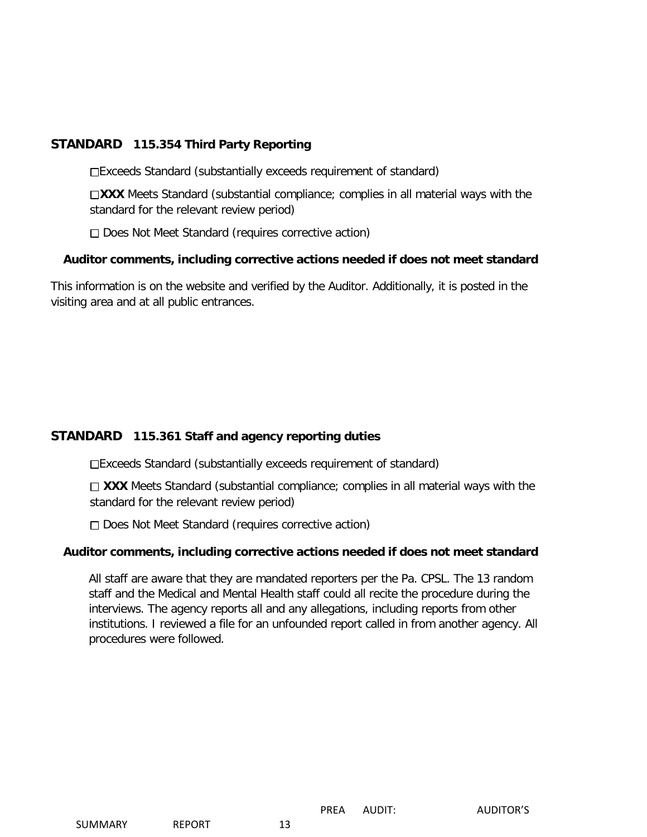# **STANDARD 115.354 Third Party Reporting**

Exceeds Standard (substantially exceeds requirement of standard)

□XXX Meets Standard (substantial compliance; complies in all material ways with the standard for the relevant review period)

Does Not Meet Standard (requires corrective action)

## **Auditor comments, including corrective actions needed if does not meet standard**

This information is on the website and verified by the Auditor. Additionally, it is posted in the visiting area and at all public entrances.

# **STANDARD 115.361 Staff and agency reporting duties**

Exceeds Standard (substantially exceeds requirement of standard)

□ XXX Meets Standard (substantial compliance; complies in all material ways with the standard for the relevant review period)

 $\Box$  Does Not Meet Standard (requires corrective action)

## **Auditor comments, including corrective actions needed if does not meet standard**

All staff are aware that they are mandated reporters per the Pa. CPSL. The 13 random staff and the Medical and Mental Health staff could all recite the procedure during the interviews. The agency reports all and any allegations, including reports from other institutions. I reviewed a file for an unfounded report called in from another agency. All procedures were followed.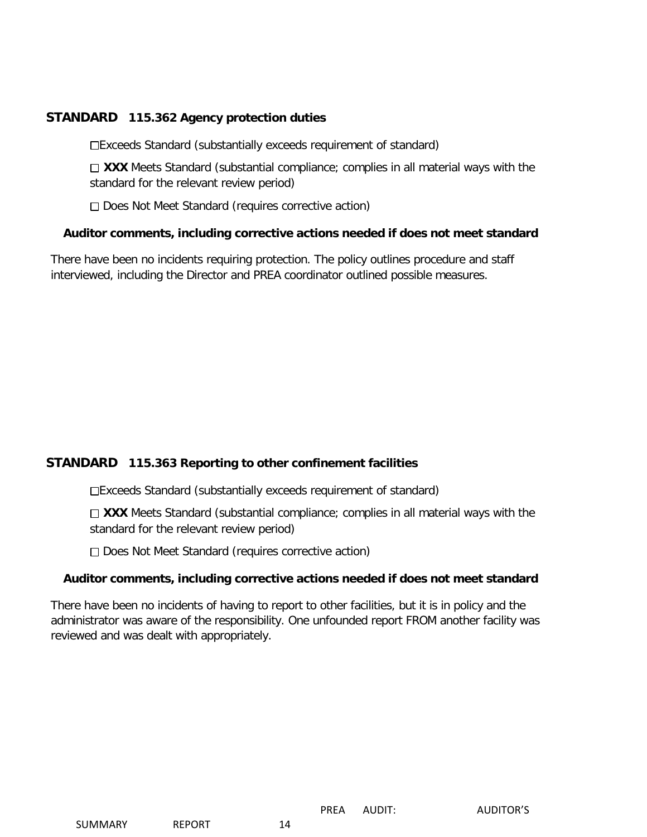# **STANDARD 115.362 Agency protection duties**

Exceeds Standard (substantially exceeds requirement of standard)

 $\Box$  **XXX** Meets Standard (substantial compliance; complies in all material ways with the standard for the relevant review period)

□ Does Not Meet Standard (requires corrective action)

## **Auditor comments, including corrective actions needed if does not meet standard**

There have been no incidents requiring protection. The policy outlines procedure and staff interviewed, including the Director and PREA coordinator outlined possible measures.

# **STANDARD 115.363 Reporting to other confinement facilities**

Exceeds Standard (substantially exceeds requirement of standard)

 $\Box$  **XXX** Meets Standard (substantial compliance; complies in all material ways with the standard for the relevant review period)

□ Does Not Meet Standard (requires corrective action)

## **Auditor comments, including corrective actions needed if does not meet standard**

There have been no incidents of having to report to other facilities, but it is in policy and the administrator was aware of the responsibility. One unfounded report FROM another facility was reviewed and was dealt with appropriately.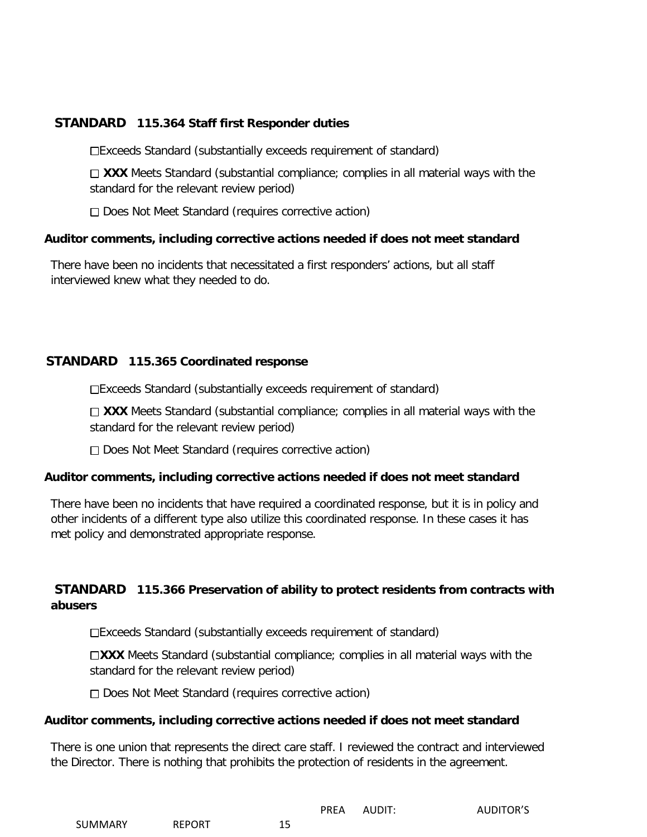# **STANDARD 115.364 Staff first Responder duties**

Exceeds Standard (substantially exceeds requirement of standard)

□ XXX Meets Standard (substantial compliance; complies in all material ways with the standard for the relevant review period)

 $\Box$  Does Not Meet Standard (requires corrective action)

## **Auditor comments, including corrective actions needed if does not meet standard**

There have been no incidents that necessitated a first responders' actions, but all staff interviewed knew what they needed to do.

# **STANDARD 115.365 Coordinated response**

Exceeds Standard (substantially exceeds requirement of standard)

□ XXX Meets Standard (substantial compliance; complies in all material ways with the standard for the relevant review period)

□ Does Not Meet Standard (requires corrective action)

## **Auditor comments, including corrective actions needed if does not meet standard**

There have been no incidents that have required a coordinated response, but it is in policy and other incidents of a different type also utilize this coordinated response. In these cases it has met policy and demonstrated appropriate response.

# **STANDARD 115.366 Preservation of ability to protect residents from contracts with abusers**

Exceeds Standard (substantially exceeds requirement of standard)

**XXX** Meets Standard (substantial compliance; complies in all material ways with the standard for the relevant review period)

□ Does Not Meet Standard (requires corrective action)

#### **Auditor comments, including corrective actions needed if does not meet standard**

There is one union that represents the direct care staff. I reviewed the contract and interviewed the Director. There is nothing that prohibits the protection of residents in the agreement.

|                |               |      | <b>PREA</b> | AUDIT: | <b>AUDITOR'S</b> |
|----------------|---------------|------|-------------|--------|------------------|
| <b>SUMMARY</b> | <b>REPORT</b> | ــ ـ |             |        |                  |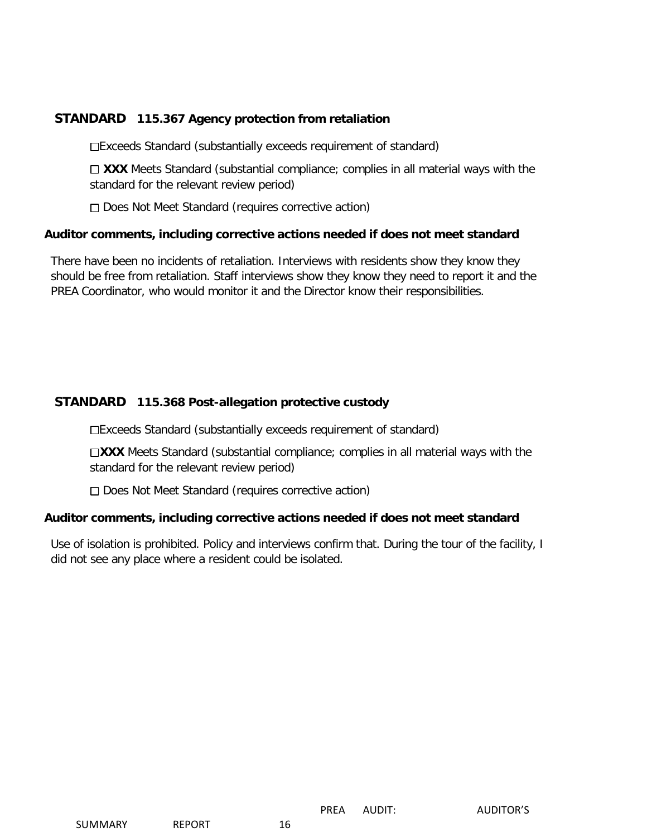# **STANDARD 115.367 Agency protection from retaliation**

Exceeds Standard (substantially exceeds requirement of standard)

□ XXX Meets Standard (substantial compliance; complies in all material ways with the standard for the relevant review period)

□ Does Not Meet Standard (requires corrective action)

## **Auditor comments, including corrective actions needed if does not meet standard**

There have been no incidents of retaliation. Interviews with residents show they know they should be free from retaliation. Staff interviews show they know they need to report it and the PREA Coordinator, who would monitor it and the Director know their responsibilities.

# **STANDARD 115.368 Post-allegation protective custody**

Exceeds Standard (substantially exceeds requirement of standard)

□XXX Meets Standard (substantial compliance; complies in all material ways with the standard for the relevant review period)

□ Does Not Meet Standard (requires corrective action)

## **Auditor comments, including corrective actions needed if does not meet standard**

Use of isolation is prohibited. Policy and interviews confirm that. During the tour of the facility, I did not see any place where a resident could be isolated.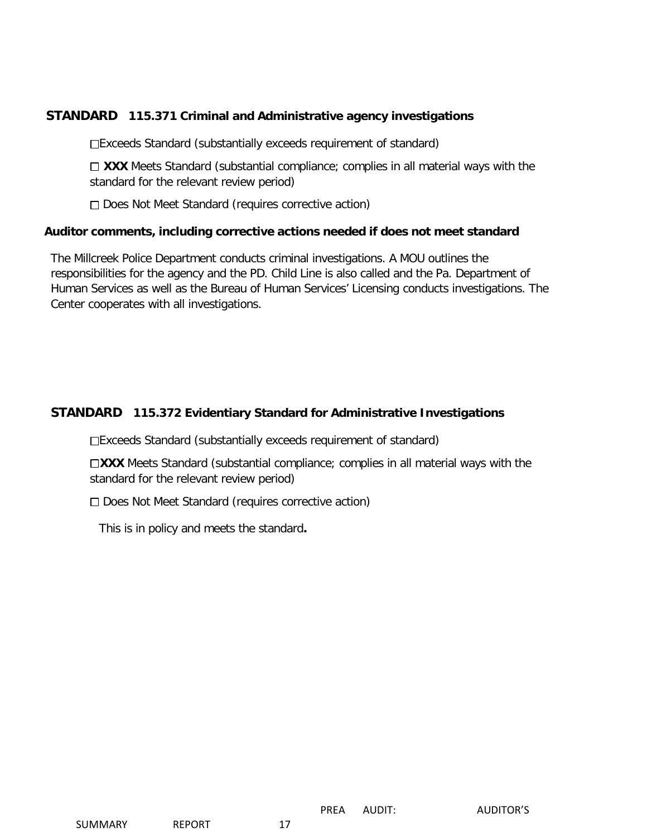# **STANDARD 115.371 Criminal and Administrative agency investigations**

Exceeds Standard (substantially exceeds requirement of standard)

□ XXX Meets Standard (substantial compliance; complies in all material ways with the standard for the relevant review period)

Does Not Meet Standard (requires corrective action)

#### **Auditor comments, including corrective actions needed if does not meet standard**

The Millcreek Police Department conducts criminal investigations. A MOU outlines the responsibilities for the agency and the PD. Child Line is also called and the Pa. Department of Human Services as well as the Bureau of Human Services' Licensing conducts investigations. The Center cooperates with all investigations.

# **STANDARD 115.372 Evidentiary Standard for Administrative Investigations**

Exceeds Standard (substantially exceeds requirement of standard)

**XXX** Meets Standard (substantial compliance; complies in all material ways with the standard for the relevant review period)

□ Does Not Meet Standard (requires corrective action)

This is in policy and meets the standard**.**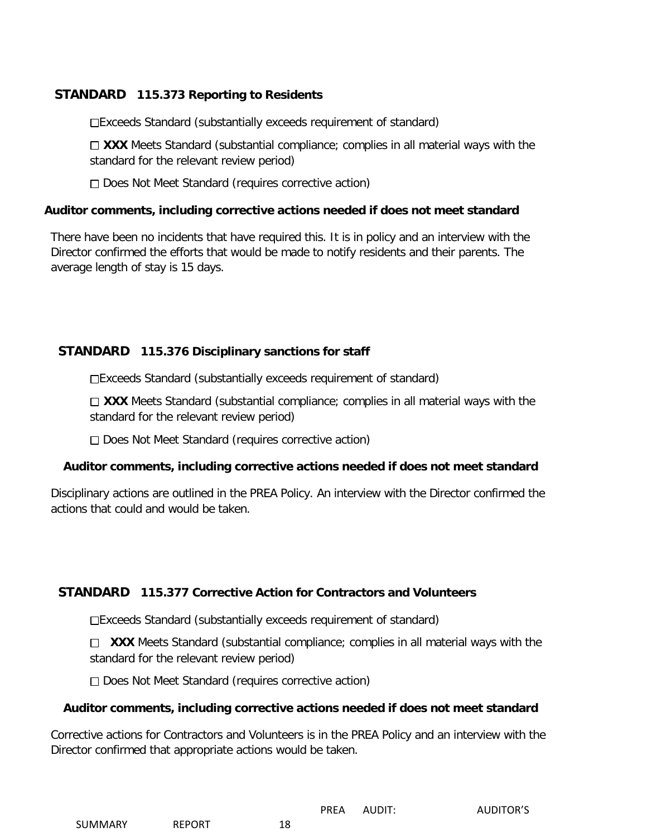# **STANDARD 115.373 Reporting to Residents**

Exceeds Standard (substantially exceeds requirement of standard)

□ XXX Meets Standard (substantial compliance; complies in all material ways with the standard for the relevant review period)

□ Does Not Meet Standard (requires corrective action)

#### **Auditor comments, including corrective actions needed if does not meet standard**

There have been no incidents that have required this. It is in policy and an interview with the Director confirmed the efforts that would be made to notify residents and their parents. The average length of stay is 15 days.

# **STANDARD 115.376 Disciplinary sanctions for staff**

Exceeds Standard (substantially exceeds requirement of standard)

 $\Box$  **XXX** Meets Standard (substantial compliance; complies in all material ways with the standard for the relevant review period)

□ Does Not Meet Standard (requires corrective action)

## **Auditor comments, including corrective actions needed if does not meet standard**

Disciplinary actions are outlined in the PREA Policy. An interview with the Director confirmed the actions that could and would be taken.

# **STANDARD 115.377 Corrective Action for Contractors and Volunteers**

Exceeds Standard (substantially exceeds requirement of standard)

□ XXX Meets Standard (substantial compliance; complies in all material ways with the standard for the relevant review period)

□ Does Not Meet Standard (requires corrective action)

## **Auditor comments, including corrective actions needed if does not meet standard**

Corrective actions for Contractors and Volunteers is in the PREA Policy and an interview with the Director confirmed that appropriate actions would be taken.

| <b>SUMMARY</b> | <b>REPORT</b> | 18 |  |
|----------------|---------------|----|--|

PREA AUDIT: AUDITOR'S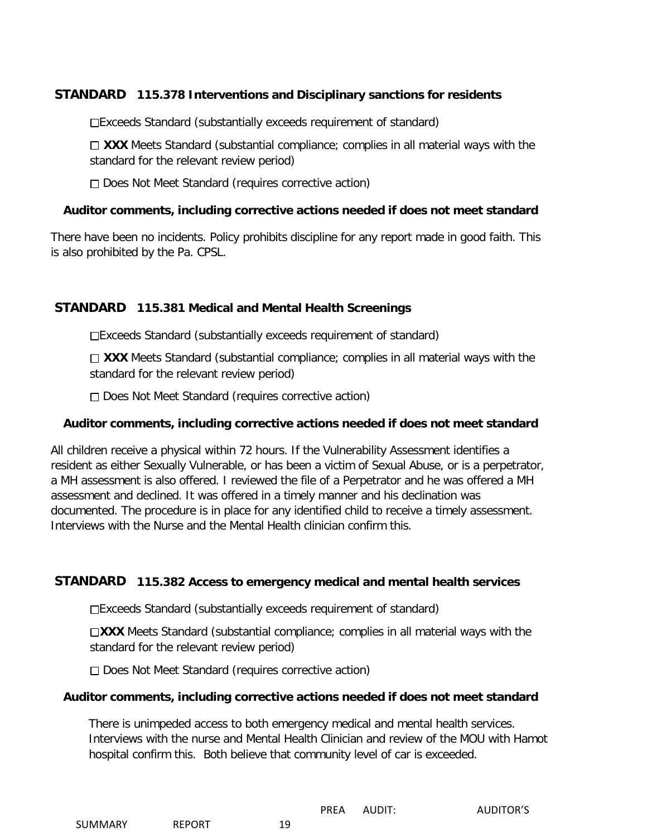# **STANDARD 115.378 Interventions and Disciplinary sanctions for residents**

Exceeds Standard (substantially exceeds requirement of standard)

□ XXX Meets Standard (substantial compliance; complies in all material ways with the standard for the relevant review period)

 $\Box$  Does Not Meet Standard (requires corrective action)

#### **Auditor comments, including corrective actions needed if does not meet standard**

There have been no incidents. Policy prohibits discipline for any report made in good faith. This is also prohibited by the Pa. CPSL.

# **STANDARD 115.381 Medical and Mental Health Screenings**

Exceeds Standard (substantially exceeds requirement of standard)

□ XXX Meets Standard (substantial compliance; complies in all material ways with the standard for the relevant review period)

□ Does Not Meet Standard (requires corrective action)

#### **Auditor comments, including corrective actions needed if does not meet standard**

All children receive a physical within 72 hours. If the Vulnerability Assessment identifies a resident as either Sexually Vulnerable, or has been a victim of Sexual Abuse, or is a perpetrator, a MH assessment is also offered. I reviewed the file of a Perpetrator and he was offered a MH assessment and declined. It was offered in a timely manner and his declination was documented. The procedure is in place for any identified child to receive a timely assessment. Interviews with the Nurse and the Mental Health clinician confirm this.

## **STANDARD 115.382 Access to emergency medical and mental health services**

Exceeds Standard (substantially exceeds requirement of standard)

□XXX Meets Standard (substantial compliance; complies in all material ways with the standard for the relevant review period)

□ Does Not Meet Standard (requires corrective action)

## **Auditor comments, including corrective actions needed if does not meet standard**

There is unimpeded access to both emergency medical and mental health services. Interviews with the nurse and Mental Health Clinician and review of the MOU with Hamot hospital confirm this. Both believe that community level of car is exceeded.

|  | SUMMARY | <b>REPORT</b> | 19 |
|--|---------|---------------|----|
|--|---------|---------------|----|

PREA AUDIT: AUDITOR'S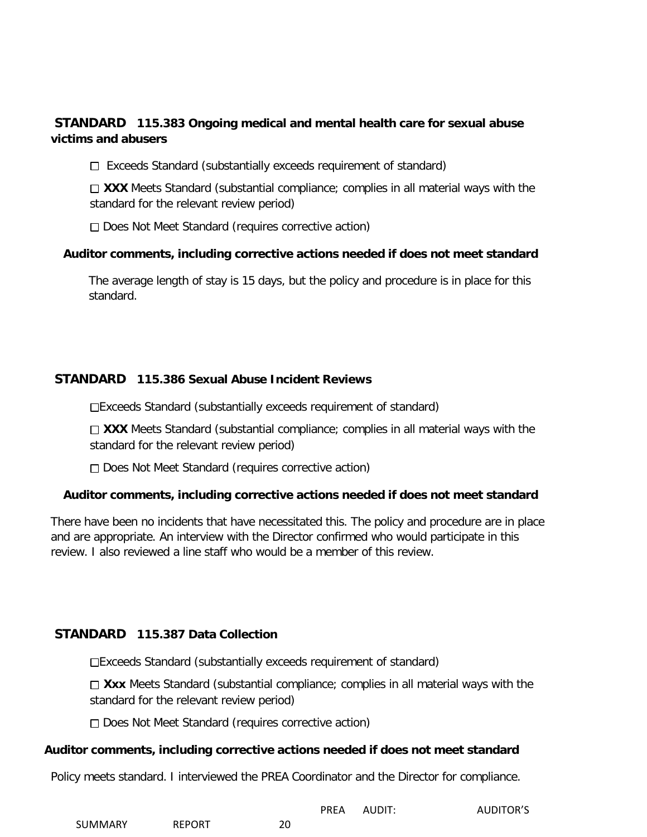# **STANDARD 115.383 Ongoing medical and mental health care for sexual abuse victims and abusers**

 $\Box$  Exceeds Standard (substantially exceeds requirement of standard)

 $\Box$  **XXX** Meets Standard (substantial compliance; complies in all material ways with the standard for the relevant review period)

Does Not Meet Standard (requires corrective action)

## **Auditor comments, including corrective actions needed if does not meet standard**

The average length of stay is 15 days, but the policy and procedure is in place for this standard.

# **STANDARD 115.386 Sexual Abuse Incident Reviews**

Exceeds Standard (substantially exceeds requirement of standard)

□ XXX Meets Standard (substantial compliance; complies in all material ways with the standard for the relevant review period)

□ Does Not Meet Standard (requires corrective action)

## **Auditor comments, including corrective actions needed if does not meet standard**

There have been no incidents that have necessitated this. The policy and procedure are in place and are appropriate. An interview with the Director confirmed who would participate in this review. I also reviewed a line staff who would be a member of this review.

## **STANDARD 115.387 Data Collection**

Exceeds Standard (substantially exceeds requirement of standard)

□ Xxx Meets Standard (substantial compliance; complies in all material ways with the standard for the relevant review period)

□ Does Not Meet Standard (requires corrective action)

## **Auditor comments, including corrective actions needed if does not meet standard**

Policy meets standard. I interviewed the PREA Coordinator and the Director for compliance.

|         |               |    | <b>PREA</b> | AUDIT: | <b>AUDITOR'S</b> |
|---------|---------------|----|-------------|--------|------------------|
| SUMMARY | <b>REPORT</b> | 20 |             |        |                  |